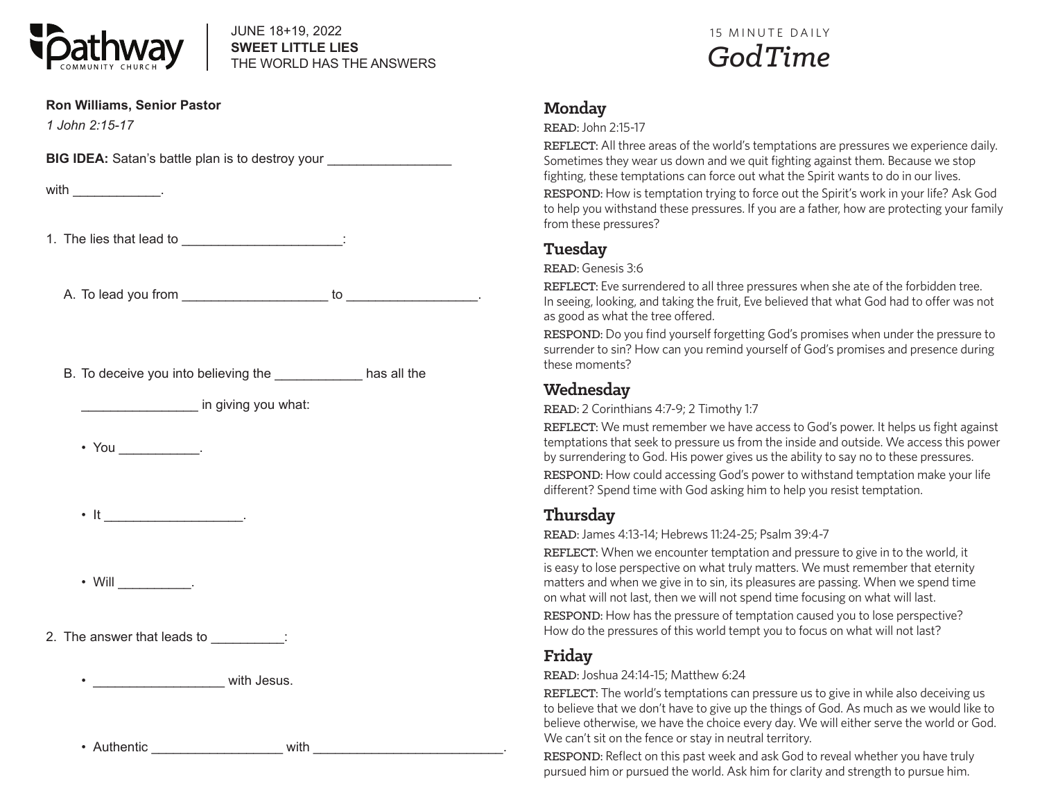

JUNE 18+19, 2022 **SWEET LITTLE LIES** THE WORLD HAS THE ANSWERS

| Ron Williams, Senior Pastor<br>1 John 2:15-17                                    |
|----------------------------------------------------------------------------------|
| BIG IDEA: Satan's battle plan is to destroy your _______________________________ |
| with ______________________.                                                     |
| 1. The lies that lead to __________________________:                             |
|                                                                                  |
| B. To deceive you into believing the ____________ has all the                    |
| in giving you what:                                                              |
| $\cdot$ You ____________.                                                        |
|                                                                                  |
| $\bullet$ Will _____________.                                                    |
| 2. The answer that leads to __________:                                          |
| <u>__________________________</u> with Jesus.                                    |
|                                                                                  |

### **Monday**

READ: John 2:15-17

REFLECT: All three areas of the world's temptations are pressures we experience daily. Sometimes they wear us down and we quit fighting against them. Because we stop fighting, these temptations can force out what the Spirit wants to do in our lives. RESPOND: How is temptation trying to force out the Spirit's work in your life? Ask God to help you withstand these pressures. If you are a father, how are protecting your family from these pressures?

### **Tuesday**

READ: Genesis 3:6

REFLECT: Eve surrendered to all three pressures when she ate of the forbidden tree. In seeing, looking, and taking the fruit, Eve believed that what God had to offer was not as good as what the tree offered.

RESPOND: Do you find yourself forgetting God's promises when under the pressure to surrender to sin? How can you remind yourself of God's promises and presence during these moments?

### **Wednesday**

READ: 2 Corinthians 4:7-9; 2 Timothy 1:7

REFLECT: We must remember we have access to God's power. It helps us fight against temptations that seek to pressure us from the inside and outside. We access this power by surrendering to God. His power gives us the ability to say no to these pressures. RESPOND: How could accessing God's power to withstand temptation make your life different? Spend time with God asking him to help you resist temptation.

## **Thursday**

READ: James 4:13-14; Hebrews 11:24-25; Psalm 39:4-7

REFLECT: When we encounter temptation and pressure to give in to the world, it is easy to lose perspective on what truly matters. We must remember that eternity matters and when we give in to sin, its pleasures are passing. When we spend time on what will not last, then we will not spend time focusing on what will last.

RESPOND: How has the pressure of temptation caused you to lose perspective? How do the pressures of this world tempt you to focus on what will not last?

### **Friday**

READ: Joshua 24:14-15; Matthew 6:24

REFLECT: The world's temptations can pressure us to give in while also deceiving us to believe that we don't have to give up the things of God. As much as we would like to believe otherwise, we have the choice every day. We will either serve the world or God. We can't sit on the fence or stay in neutral territory.

RESPOND: Reflect on this past week and ask God to reveal whether you have truly pursued him or pursued the world. Ask him for clarity and strength to pursue him.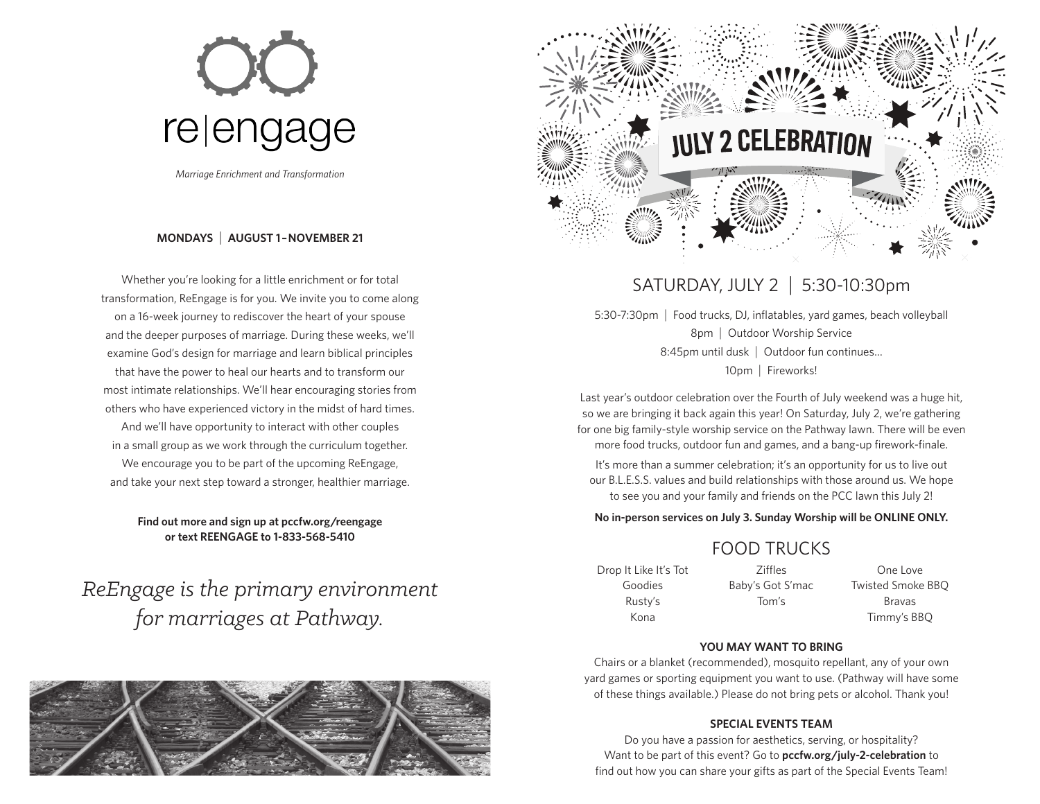

*Marriage Enrichment and Transformation*

#### **MONDAYS** | **AUGUST 1–NOVEMBER 21**

Whether you're looking for a little enrichment or for total transformation, ReEngage is for you. We invite you to come along on a 16-week journey to rediscover the heart of your spouse and the deeper purposes of marriage. During these weeks, we'll examine God's design for marriage and learn biblical principles that have the power to heal our hearts and to transform our most intimate relationships. We'll hear encouraging stories from others who have experienced victory in the midst of hard times.

And we'll have opportunity to interact with other couples in a small group as we work through the curriculum together. We encourage you to be part of the upcoming ReEngage,

and take your next step toward a stronger, healthier marriage.

**Find out more and sign up at pccfw.org/reengage or text REENGAGE to 1-833-568-5410**

## *ReEngage is the primary environment for marriages at Pathway.*





### SATURDAY, JULY 2 | 5:30-10:30pm

5:30-7:30pm | Food trucks, DJ, inflatables, yard games, beach volleyball 8pm | Outdoor Worship Service 8:45pm until dusk | Outdoor fun continues... 10pm | Fireworks!

Last year's outdoor celebration over the Fourth of July weekend was a huge hit, so we are bringing it back again this year! On Saturday, July 2, we're gathering for one big family-style worship service on the Pathway lawn. There will be even more food trucks, outdoor fun and games, and a bang-up firework-finale.

It's more than a summer celebration; it's an opportunity for us to live out our B.L.E.S.S. values and build relationships with those around us. We hope to see you and your family and friends on the PCC lawn this July 2!

#### **No in-person services on July 3. Sunday Worship will be ONLINE ONLY.**

### FOOD TRUCKS

Drop It Like It's Tot Goodies Rusty's Kona

Ziffles Baby's Got S'mac Tom's

One Love Twisted Smoke BBQ Bravas Timmy's BBQ

#### **YOU MAY WANT TO BRING**

Chairs or a blanket (recommended), mosquito repellant, any of your own yard games or sporting equipment you want to use. (Pathway will have some of these things available.) Please do not bring pets or alcohol. Thank you!

#### **SPECIAL EVENTS TEAM**

Do you have a passion for aesthetics, serving, or hospitality? Want to be part of this event? Go to **pccfw.org/july-2-celebration** to find out how you can share your gifts as part of the Special Events Team!